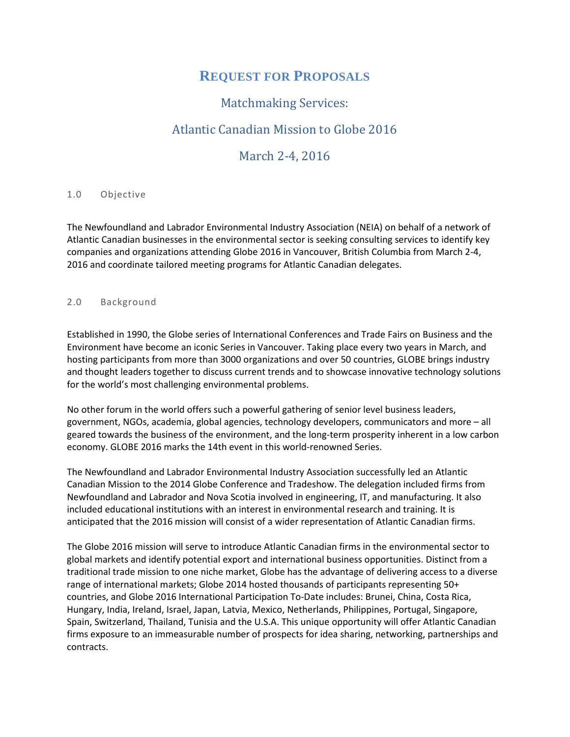# **REQUEST FOR PROPOSALS**

## Matchmaking Services:

## Atlantic Canadian Mission to Globe 2016

### March 2-4, 2016

#### 1.0 Objective

The Newfoundland and Labrador Environmental Industry Association (NEIA) on behalf of a network of Atlantic Canadian businesses in the environmental sector is seeking consulting services to identify key companies and organizations attending Globe 2016 in Vancouver, British Columbia from March 2-4, 2016 and coordinate tailored meeting programs for Atlantic Canadian delegates.

#### 2.0 Background

Established in 1990, the Globe series of International Conferences and Trade Fairs on Business and the Environment have become an iconic Series in Vancouver. Taking place every two years in March, and hosting participants from more than 3000 organizations and over 50 countries, GLOBE brings industry and thought leaders together to discuss current trends and to showcase innovative technology solutions for the world's most challenging environmental problems.

No other forum in the world offers such a powerful gathering of senior level business leaders, government, NGOs, academia, global agencies, technology developers, communicators and more – all geared towards the business of the environment, and the long-term prosperity inherent in a low carbon economy. GLOBE 2016 marks the 14th event in this world-renowned Series.

The Newfoundland and Labrador Environmental Industry Association successfully led an Atlantic Canadian Mission to the 2014 Globe Conference and Tradeshow. The delegation included firms from Newfoundland and Labrador and Nova Scotia involved in engineering, IT, and manufacturing. It also included educational institutions with an interest in environmental research and training. It is anticipated that the 2016 mission will consist of a wider representation of Atlantic Canadian firms.

The Globe 2016 mission will serve to introduce Atlantic Canadian firms in the environmental sector to global markets and identify potential export and international business opportunities. Distinct from a traditional trade mission to one niche market, Globe has the advantage of delivering access to a diverse range of international markets; Globe 2014 hosted thousands of participants representing 50+ countries, and Globe 2016 International Participation To-Date includes: Brunei, China, Costa Rica, Hungary, India, Ireland, Israel, Japan, Latvia, Mexico, Netherlands, Philippines, Portugal, Singapore, Spain, Switzerland, Thailand, Tunisia and the U.S.A. This unique opportunity will offer Atlantic Canadian firms exposure to an immeasurable number of prospects for idea sharing, networking, partnerships and contracts.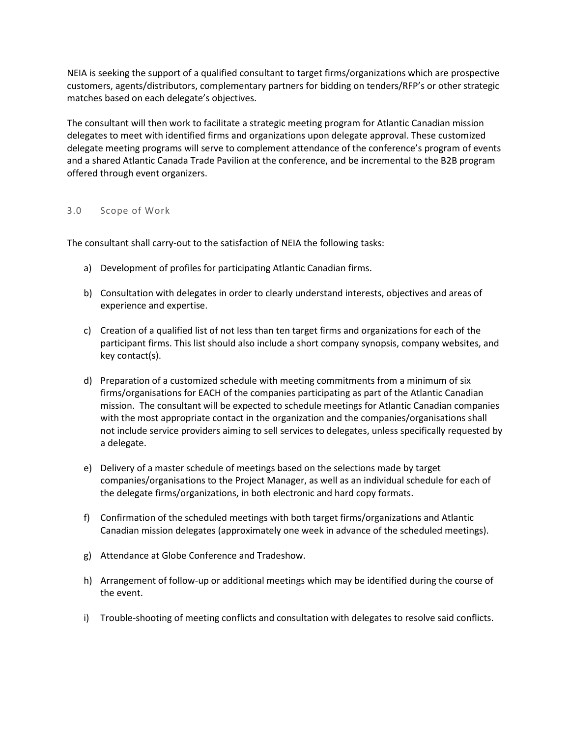NEIA is seeking the support of a qualified consultant to target firms/organizations which are prospective customers, agents/distributors, complementary partners for bidding on tenders/RFP's or other strategic matches based on each delegate's objectives.

The consultant will then work to facilitate a strategic meeting program for Atlantic Canadian mission delegates to meet with identified firms and organizations upon delegate approval. These customized delegate meeting programs will serve to complement attendance of the conference's program of events and a shared Atlantic Canada Trade Pavilion at the conference, and be incremental to the B2B program offered through event organizers.

#### 3.0 Scope of Work

The consultant shall carry-out to the satisfaction of NEIA the following tasks:

- a) Development of profiles for participating Atlantic Canadian firms.
- b) Consultation with delegates in order to clearly understand interests, objectives and areas of experience and expertise.
- c) Creation of a qualified list of not less than ten target firms and organizations for each of the participant firms. This list should also include a short company synopsis, company websites, and key contact(s).
- d) Preparation of a customized schedule with meeting commitments from a minimum of six firms/organisations for EACH of the companies participating as part of the Atlantic Canadian mission. The consultant will be expected to schedule meetings for Atlantic Canadian companies with the most appropriate contact in the organization and the companies/organisations shall not include service providers aiming to sell services to delegates, unless specifically requested by a delegate.
- e) Delivery of a master schedule of meetings based on the selections made by target companies/organisations to the Project Manager, as well as an individual schedule for each of the delegate firms/organizations, in both electronic and hard copy formats.
- f) Confirmation of the scheduled meetings with both target firms/organizations and Atlantic Canadian mission delegates (approximately one week in advance of the scheduled meetings).
- g) Attendance at Globe Conference and Tradeshow.
- h) Arrangement of follow-up or additional meetings which may be identified during the course of the event.
- i) Trouble-shooting of meeting conflicts and consultation with delegates to resolve said conflicts.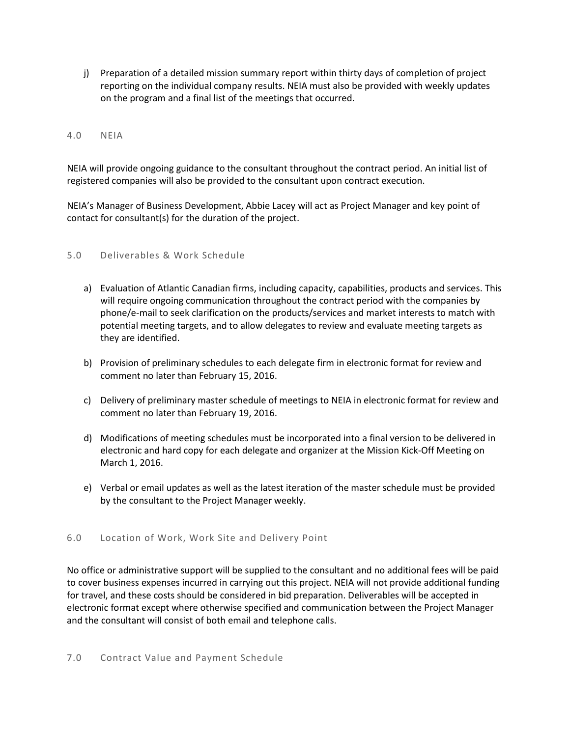j) Preparation of a detailed mission summary report within thirty days of completion of project reporting on the individual company results. NEIA must also be provided with weekly updates on the program and a final list of the meetings that occurred.

#### 4.0 NEIA

NEIA will provide ongoing guidance to the consultant throughout the contract period. An initial list of registered companies will also be provided to the consultant upon contract execution.

NEIA's Manager of Business Development, Abbie Lacey will act as Project Manager and key point of contact for consultant(s) for the duration of the project.

#### 5.0 Deliverables & Work Schedule

- a) Evaluation of Atlantic Canadian firms, including capacity, capabilities, products and services. This will require ongoing communication throughout the contract period with the companies by phone/e-mail to seek clarification on the products/services and market interests to match with potential meeting targets, and to allow delegates to review and evaluate meeting targets as they are identified.
- b) Provision of preliminary schedules to each delegate firm in electronic format for review and comment no later than February 15, 2016.
- c) Delivery of preliminary master schedule of meetings to NEIA in electronic format for review and comment no later than February 19, 2016.
- d) Modifications of meeting schedules must be incorporated into a final version to be delivered in electronic and hard copy for each delegate and organizer at the Mission Kick-Off Meeting on March 1, 2016.
- e) Verbal or email updates as well as the latest iteration of the master schedule must be provided by the consultant to the Project Manager weekly.

#### 6.0 Location of Work, Work Site and Delivery Point

No office or administrative support will be supplied to the consultant and no additional fees will be paid to cover business expenses incurred in carrying out this project. NEIA will not provide additional funding for travel, and these costs should be considered in bid preparation. Deliverables will be accepted in electronic format except where otherwise specified and communication between the Project Manager and the consultant will consist of both email and telephone calls.

#### 7.0 Contract Value and Payment Schedule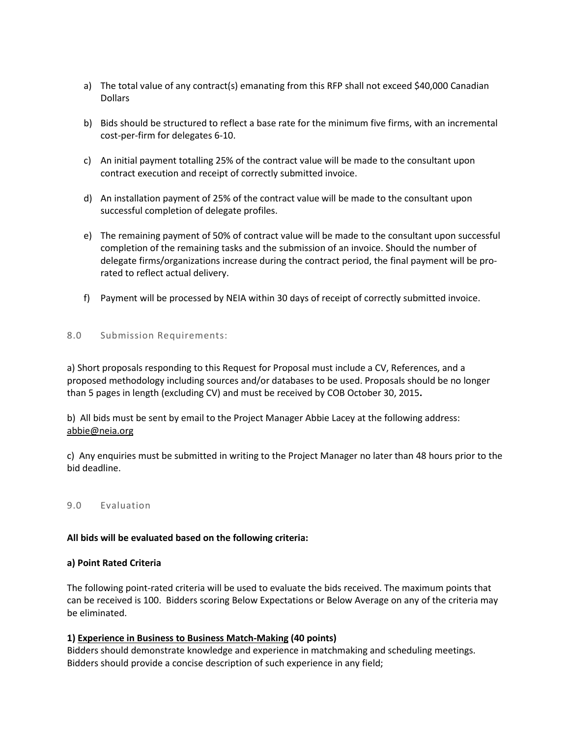- a) The total value of any contract(s) emanating from this RFP shall not exceed \$40,000 Canadian Dollars
- b) Bids should be structured to reflect a base rate for the minimum five firms, with an incremental cost-per-firm for delegates 6-10.
- c) An initial payment totalling 25% of the contract value will be made to the consultant upon contract execution and receipt of correctly submitted invoice.
- d) An installation payment of 25% of the contract value will be made to the consultant upon successful completion of delegate profiles.
- e) The remaining payment of 50% of contract value will be made to the consultant upon successful completion of the remaining tasks and the submission of an invoice. Should the number of delegate firms/organizations increase during the contract period, the final payment will be prorated to reflect actual delivery.
- f) Payment will be processed by NEIA within 30 days of receipt of correctly submitted invoice.

#### 8.0 Submission Requirements:

a) Short proposals responding to this Request for Proposal must include a CV, References, and a proposed methodology including sources and/or databases to be used. Proposals should be no longer than 5 pages in length (excluding CV) and must be received by COB October 30, 2015**.**

b) All bids must be sent by email to the Project Manager Abbie Lacey at the following address: [abbie@neia.org](mailto:Pema.Tulotsang@international.gc.ca)

c) Any enquiries must be submitted in writing to the Project Manager no later than 48 hours prior to the bid deadline.

#### 9.0 Evaluation

#### **All bids will be evaluated based on the following criteria:**

#### **a) Point Rated Criteria**

The following point-rated criteria will be used to evaluate the bids received. The maximum points that can be received is 100. Bidders scoring Below Expectations or Below Average on any of the criteria may be eliminated.

#### **1) Experience in Business to Business Match-Making (40 points)**

Bidders should demonstrate knowledge and experience in matchmaking and scheduling meetings. Bidders should provide a concise description of such experience in any field;